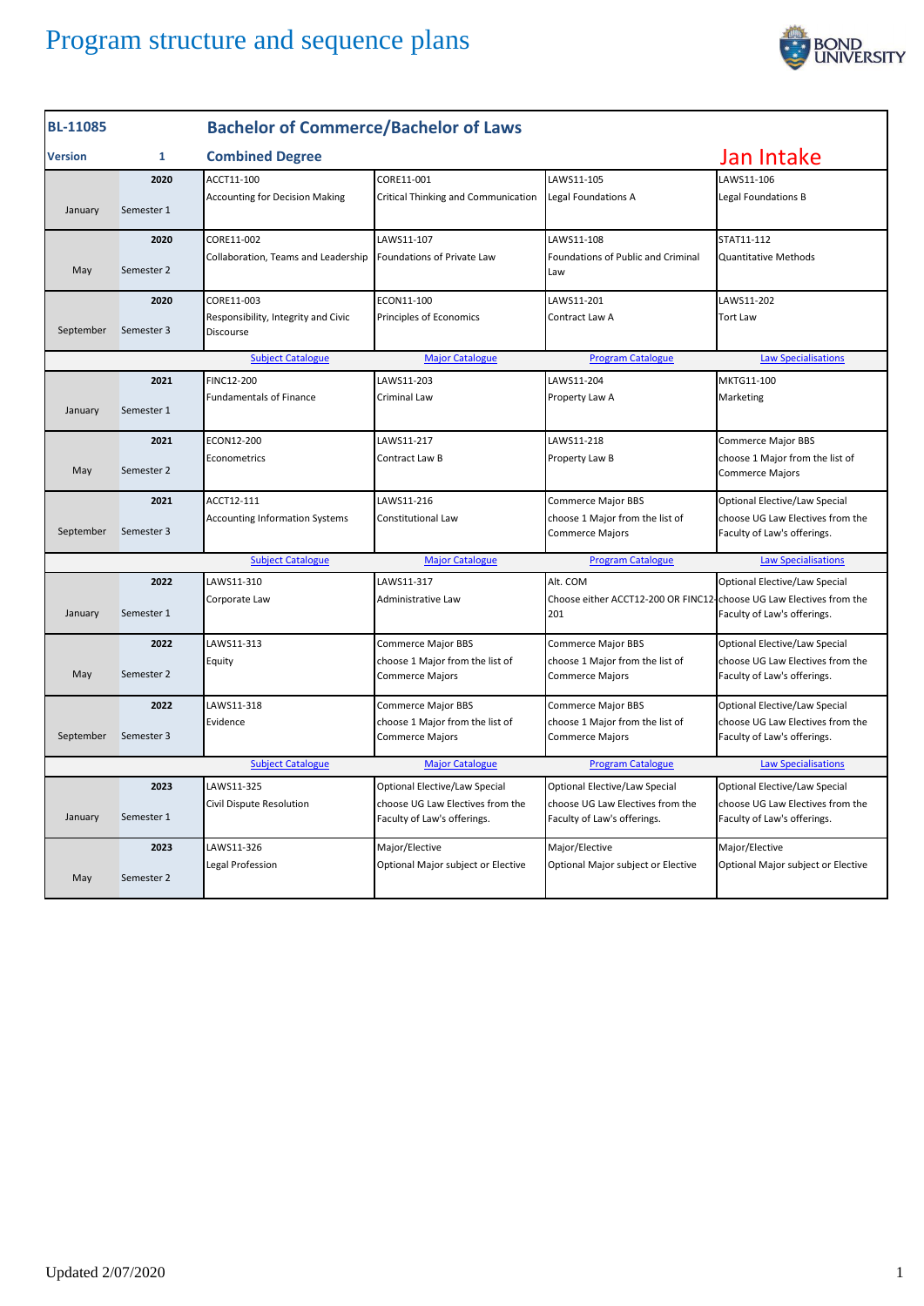

| <b>BL-11085</b>          |            | <b>Bachelor of Commerce/Bachelor of Laws</b>     |                                                                 |                                                                 |                                                                 |  |
|--------------------------|------------|--------------------------------------------------|-----------------------------------------------------------------|-----------------------------------------------------------------|-----------------------------------------------------------------|--|
| Version                  | 1          | <b>Combined Degree</b>                           |                                                                 |                                                                 | Jan Intake                                                      |  |
|                          | 2020       | ACCT11-100                                       | CORE11-001                                                      | LAWS11-105                                                      | LAWS11-106                                                      |  |
| January                  | Semester 1 | <b>Accounting for Decision Making</b>            | Critical Thinking and Communication                             | Legal Foundations A                                             | Legal Foundations B                                             |  |
|                          | 2020       | CORE11-002                                       | LAWS11-107                                                      | LAWS11-108                                                      | STAT11-112                                                      |  |
| May                      | Semester 2 | Collaboration, Teams and Leadership              | Foundations of Private Law                                      | Foundations of Public and Criminal<br>Law                       | Quantitative Methods                                            |  |
|                          | 2020       | CORE11-003                                       | ECON11-100                                                      | LAWS11-201                                                      | LAWS11-202                                                      |  |
| September                | Semester 3 | Responsibility, Integrity and Civic<br>Discourse | Principles of Economics                                         | Contract Law A                                                  | <b>Tort Law</b>                                                 |  |
|                          |            | <b>Subject Catalogue</b>                         | <b>Major Catalogue</b>                                          | <b>Program Catalogue</b>                                        | <b>Law Specialisations</b>                                      |  |
|                          | 2021       | FINC12-200                                       | LAWS11-203                                                      | LAWS11-204                                                      | MKTG11-100                                                      |  |
| January                  | Semester 1 | <b>Fundamentals of Finance</b>                   | Criminal Law                                                    | Property Law A                                                  | Marketing                                                       |  |
|                          | 2021       | ECON12-200                                       | LAWS11-217                                                      | LAWS11-218                                                      | Commerce Major BBS                                              |  |
| May                      | Semester 2 | Econometrics                                     | Contract Law B                                                  | Property Law B                                                  | choose 1 Major from the list of<br><b>Commerce Majors</b>       |  |
|                          | 2021       | ACCT12-111                                       | LAWS11-216                                                      | Commerce Major BBS                                              | Optional Elective/Law Special                                   |  |
| September                | Semester 3 | <b>Accounting Information Systems</b>            | Constitutional Law                                              | choose 1 Major from the list of<br><b>Commerce Majors</b>       | choose UG Law Electives from the<br>Faculty of Law's offerings. |  |
|                          |            | <b>Subject Catalogue</b>                         | <b>Major Catalogue</b>                                          | <b>Program Catalogue</b>                                        | <b>Law Specialisations</b>                                      |  |
|                          | 2022       | LAWS11-310                                       | LAWS11-317                                                      | Alt. COM                                                        | Optional Elective/Law Special                                   |  |
| January                  | Semester 1 | Corporate Law                                    | Administrative Law                                              | Choose either ACCT12-200 OR FINC12-<br>201                      | choose UG Law Electives from the<br>Faculty of Law's offerings. |  |
|                          | 2022       | LAWS11-313                                       | <b>Commerce Major BBS</b>                                       | Commerce Major BBS                                              | Optional Elective/Law Special                                   |  |
| May                      | Semester 2 | Equity                                           | choose 1 Major from the list of<br><b>Commerce Majors</b>       | choose 1 Major from the list of<br><b>Commerce Majors</b>       | choose UG Law Electives from the<br>Faculty of Law's offerings. |  |
|                          | 2022       | LAWS11-318                                       | <b>Commerce Major BBS</b>                                       | <b>Commerce Major BBS</b>                                       | Optional Elective/Law Special                                   |  |
| September                | Semester 3 | Evidence                                         | choose 1 Major from the list of<br><b>Commerce Majors</b>       | choose 1 Major from the list of<br><b>Commerce Majors</b>       | choose UG Law Electives from the<br>Faculty of Law's offerings. |  |
| <b>Subject Catalogue</b> |            | <b>Major Catalogue</b>                           | <b>Program Catalogue</b>                                        | <b>Law Specialisations</b>                                      |                                                                 |  |
|                          | 2023       | LAWS11-325                                       | Optional Elective/Law Special                                   | Optional Elective/Law Special                                   | Optional Elective/Law Special                                   |  |
| January                  | Semester 1 | Civil Dispute Resolution                         | choose UG Law Electives from the<br>Faculty of Law's offerings. | choose UG Law Electives from the<br>Faculty of Law's offerings. | choose UG Law Electives from the<br>Faculty of Law's offerings. |  |
|                          | 2023       | LAWS11-326                                       | Major/Elective                                                  | Major/Elective                                                  | Major/Elective                                                  |  |
| May                      | Semester 2 | Legal Profession                                 | Optional Major subject or Elective                              | Optional Major subject or Elective                              | Optional Major subject or Elective                              |  |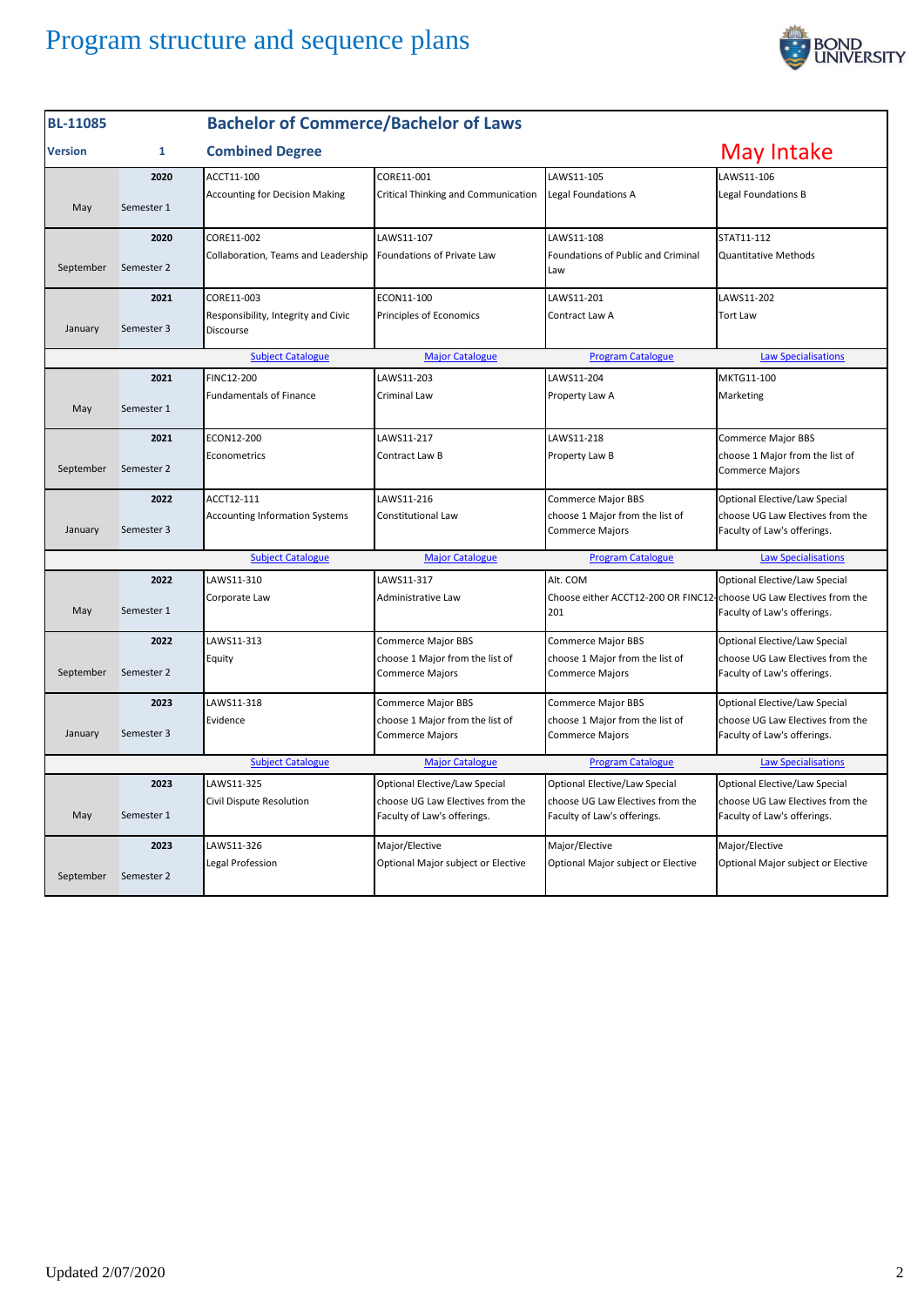

| <b>BL-11085</b>                                                                                              |            | <b>Bachelor of Commerce/Bachelor of Laws</b>     |                                                                 |                                                                            |                                                                 |
|--------------------------------------------------------------------------------------------------------------|------------|--------------------------------------------------|-----------------------------------------------------------------|----------------------------------------------------------------------------|-----------------------------------------------------------------|
| <b>Version</b>                                                                                               | 1          | <b>Combined Degree</b>                           |                                                                 | May Intake                                                                 |                                                                 |
|                                                                                                              | 2020       | ACCT11-100                                       | CORE11-001                                                      | LAWS11-105                                                                 | LAWS11-106                                                      |
| May                                                                                                          | Semester 1 | <b>Accounting for Decision Making</b>            | Critical Thinking and Communication                             | Legal Foundations A                                                        | Legal Foundations B                                             |
|                                                                                                              | 2020       | CORE11-002                                       | LAWS11-107                                                      | LAWS11-108                                                                 | STAT11-112                                                      |
| September                                                                                                    | Semester 2 | Collaboration, Teams and Leadership              | Foundations of Private Law                                      | Foundations of Public and Criminal<br>Law                                  | <b>Quantitative Methods</b>                                     |
|                                                                                                              | 2021       | CORE11-003                                       | ECON11-100                                                      | LAWS11-201                                                                 | LAWS11-202                                                      |
| January                                                                                                      | Semester 3 | Responsibility, Integrity and Civic<br>Discourse | Principles of Economics                                         | Contract Law A                                                             | <b>Tort Law</b>                                                 |
| <b>Subject Catalogue</b><br><b>Major Catalogue</b><br><b>Program Catalogue</b>                               |            |                                                  |                                                                 |                                                                            | <b>Law Specialisations</b>                                      |
|                                                                                                              | 2021       | FINC12-200                                       | LAWS11-203                                                      | LAWS11-204                                                                 | MKTG11-100                                                      |
| May                                                                                                          | Semester 1 | <b>Fundamentals of Finance</b>                   | Criminal Law                                                    | Property Law A                                                             | Marketing                                                       |
|                                                                                                              | 2021       | ECON12-200                                       | LAWS11-217                                                      | LAWS11-218                                                                 | <b>Commerce Major BBS</b>                                       |
| September                                                                                                    | Semester 2 | Econometrics                                     | Contract Law B                                                  | Property Law B                                                             | choose 1 Major from the list of<br><b>Commerce Majors</b>       |
|                                                                                                              | 2022       | ACCT12-111                                       | LAWS11-216                                                      | <b>Commerce Major BBS</b>                                                  | Optional Elective/Law Special                                   |
| January                                                                                                      | Semester 3 | <b>Accounting Information Systems</b>            | Constitutional Law                                              | choose 1 Major from the list of<br>Commerce Majors                         | choose UG Law Electives from the<br>Faculty of Law's offerings. |
|                                                                                                              |            | <b>Subject Catalogue</b>                         | <b>Major Catalogue</b>                                          | <b>Program Catalogue</b>                                                   | <b>Law Specialisations</b>                                      |
|                                                                                                              | 2022       | LAWS11-310                                       | LAWS11-317                                                      | Alt. COM                                                                   | Optional Elective/Law Special                                   |
| May                                                                                                          | Semester 1 | Corporate Law                                    | Administrative Law                                              | Choose either ACCT12-200 OR FINC12-choose UG Law Electives from the<br>201 | Faculty of Law's offerings.                                     |
|                                                                                                              | 2022       | LAWS11-313                                       | <b>Commerce Major BBS</b>                                       | <b>Commerce Major BBS</b>                                                  | Optional Elective/Law Special                                   |
| September                                                                                                    | Semester 2 | Equity                                           | choose 1 Major from the list of<br><b>Commerce Majors</b>       | choose 1 Major from the list of<br><b>Commerce Majors</b>                  | choose UG Law Electives from the<br>Faculty of Law's offerings. |
|                                                                                                              | 2023       | LAWS11-318                                       | Commerce Major BBS                                              | Commerce Major BBS                                                         | Optional Elective/Law Special                                   |
| January                                                                                                      | Semester 3 | Evidence                                         | choose 1 Major from the list of<br><b>Commerce Majors</b>       | choose 1 Major from the list of<br><b>Commerce Majors</b>                  | choose UG Law Electives from the<br>Faculty of Law's offerings. |
| <b>Subject Catalogue</b><br><b>Major Catalogue</b><br><b>Program Catalogue</b><br><b>Law Specialisations</b> |            |                                                  |                                                                 |                                                                            |                                                                 |
|                                                                                                              | 2023       | LAWS11-325                                       | <b>Optional Elective/Law Special</b>                            | Optional Elective/Law Special                                              | Optional Elective/Law Special                                   |
| May                                                                                                          | Semester 1 | Civil Dispute Resolution                         | choose UG Law Electives from the<br>Faculty of Law's offerings. | choose UG Law Electives from the<br>Faculty of Law's offerings.            | choose UG Law Electives from the<br>Faculty of Law's offerings. |
|                                                                                                              | 2023       | LAWS11-326                                       | Major/Elective                                                  | Major/Elective                                                             | Major/Elective                                                  |
| September                                                                                                    | Semester 2 | Legal Profession                                 | Optional Major subject or Elective                              | Optional Major subject or Elective                                         | Optional Major subject or Elective                              |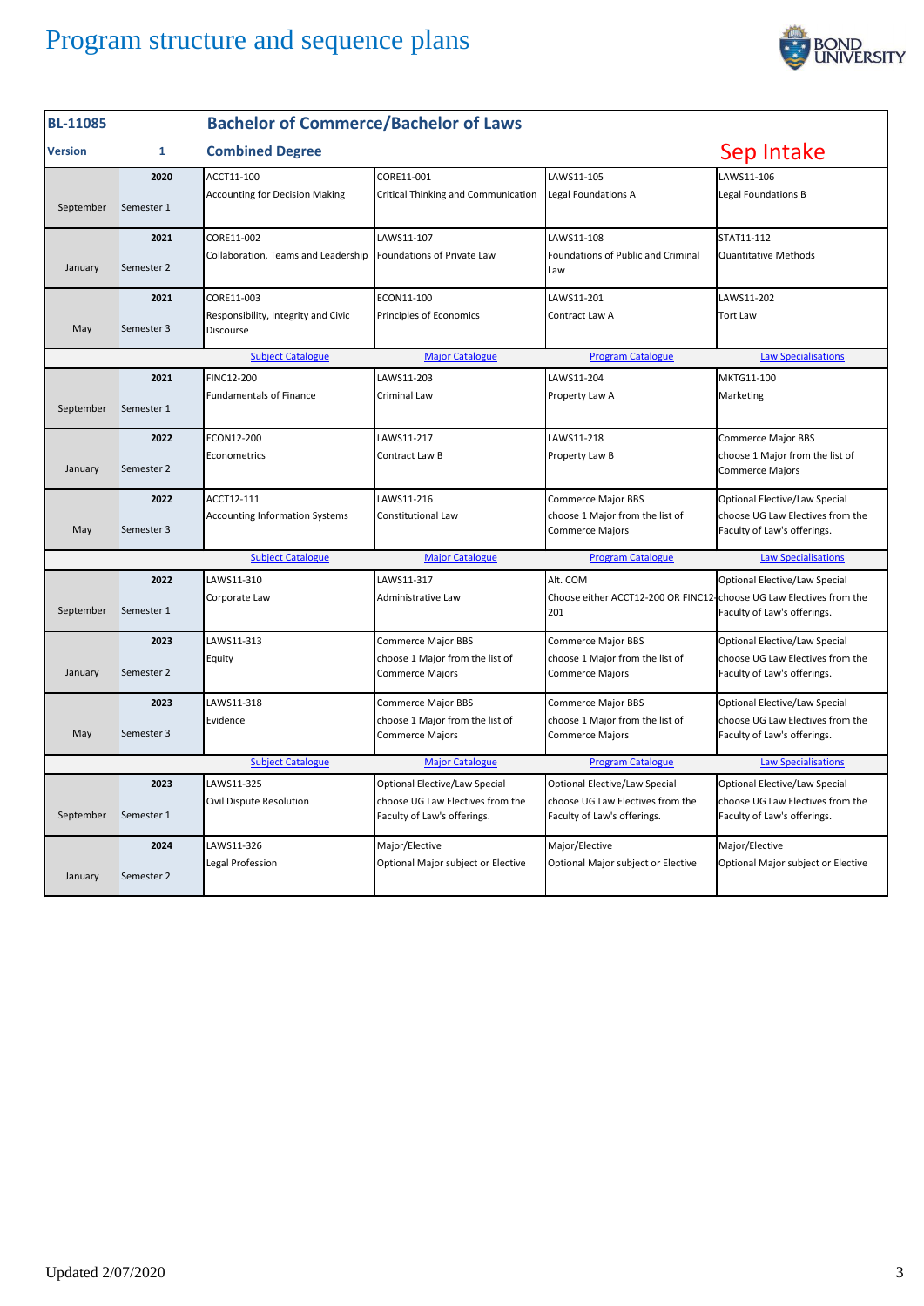

| <b>BL-11085</b>                                                                                              |              | <b>Bachelor of Commerce/Bachelor of Laws</b>     |                                                                 |                                                                            |                                                                 |  |
|--------------------------------------------------------------------------------------------------------------|--------------|--------------------------------------------------|-----------------------------------------------------------------|----------------------------------------------------------------------------|-----------------------------------------------------------------|--|
| <b>Version</b>                                                                                               | $\mathbf{1}$ | <b>Combined Degree</b>                           |                                                                 |                                                                            | Sep Intake                                                      |  |
|                                                                                                              | 2020         | ACCT11-100                                       | CORE11-001                                                      | LAWS11-105                                                                 | LAWS11-106                                                      |  |
| September                                                                                                    | Semester 1   | <b>Accounting for Decision Making</b>            | Critical Thinking and Communication                             | Legal Foundations A                                                        | Legal Foundations B                                             |  |
|                                                                                                              | 2021         | CORE11-002                                       | LAWS11-107                                                      | LAWS11-108                                                                 | STAT11-112                                                      |  |
| January                                                                                                      | Semester 2   | Collaboration, Teams and Leadership              | Foundations of Private Law                                      | Foundations of Public and Criminal<br>Law                                  | <b>Quantitative Methods</b>                                     |  |
|                                                                                                              | 2021         | CORE11-003                                       | ECON11-100                                                      | LAWS11-201                                                                 | LAWS11-202                                                      |  |
| May                                                                                                          | Semester 3   | Responsibility, Integrity and Civic<br>Discourse | Principles of Economics                                         | Contract Law A                                                             | <b>Tort Law</b>                                                 |  |
|                                                                                                              |              | <b>Subject Catalogue</b>                         | <b>Major Catalogue</b>                                          | <b>Program Catalogue</b>                                                   | <b>Law Specialisations</b>                                      |  |
|                                                                                                              | 2021         | FINC12-200                                       | LAWS11-203                                                      | LAWS11-204                                                                 | MKTG11-100                                                      |  |
| September                                                                                                    | Semester 1   | <b>Fundamentals of Finance</b>                   | Criminal Law                                                    | Property Law A                                                             | Marketing                                                       |  |
|                                                                                                              | 2022         | ECON12-200                                       | LAWS11-217                                                      | LAWS11-218                                                                 | <b>Commerce Major BBS</b>                                       |  |
| January                                                                                                      | Semester 2   | Econometrics                                     | Contract Law B                                                  | Property Law B                                                             | choose 1 Major from the list of<br><b>Commerce Majors</b>       |  |
|                                                                                                              | 2022         | ACCT12-111                                       | LAWS11-216                                                      | Commerce Major BBS                                                         | Optional Elective/Law Special                                   |  |
| May                                                                                                          | Semester 3   | <b>Accounting Information Systems</b>            | <b>Constitutional Law</b>                                       | choose 1 Major from the list of<br><b>Commerce Majors</b>                  | choose UG Law Electives from the<br>Faculty of Law's offerings. |  |
|                                                                                                              |              | <b>Subject Catalogue</b>                         | <b>Major Catalogue</b>                                          | <b>Program Catalogue</b>                                                   | <b>Law Specialisations</b>                                      |  |
|                                                                                                              | 2022         | LAWS11-310                                       | LAWS11-317                                                      | Alt. COM                                                                   | Optional Elective/Law Special                                   |  |
| September                                                                                                    | Semester 1   | Corporate Law                                    | Administrative Law                                              | Choose either ACCT12-200 OR FINC12-choose UG Law Electives from the<br>201 | Faculty of Law's offerings.                                     |  |
|                                                                                                              | 2023         | LAWS11-313                                       | <b>Commerce Major BBS</b>                                       | Commerce Major BBS                                                         | Optional Elective/Law Special                                   |  |
| January                                                                                                      | Semester 2   | Equity                                           | choose 1 Major from the list of<br><b>Commerce Majors</b>       | choose 1 Major from the list of<br>Commerce Majors                         | choose UG Law Electives from the<br>Faculty of Law's offerings. |  |
|                                                                                                              | 2023         | LAWS11-318                                       | <b>Commerce Major BBS</b>                                       | <b>Commerce Major BBS</b>                                                  | Optional Elective/Law Special                                   |  |
| May                                                                                                          | Semester 3   | Evidence                                         | choose 1 Major from the list of<br>Commerce Majors              | choose 1 Major from the list of<br>Commerce Majors                         | choose UG Law Electives from the<br>Faculty of Law's offerings. |  |
| <b>Subject Catalogue</b><br><b>Program Catalogue</b><br><b>Law Specialisations</b><br><b>Major Catalogue</b> |              |                                                  |                                                                 |                                                                            |                                                                 |  |
|                                                                                                              | 2023         | LAWS11-325                                       | Optional Elective/Law Special                                   | Optional Elective/Law Special                                              | Optional Elective/Law Special                                   |  |
| September                                                                                                    | Semester 1   | Civil Dispute Resolution                         | choose UG Law Electives from the<br>Faculty of Law's offerings. | choose UG Law Electives from the<br>Faculty of Law's offerings.            | choose UG Law Electives from the<br>Faculty of Law's offerings. |  |
|                                                                                                              | 2024         | LAWS11-326                                       | Major/Elective                                                  | Major/Elective                                                             | Major/Elective                                                  |  |
| January                                                                                                      | Semester 2   | Legal Profession                                 | Optional Major subject or Elective                              | Optional Major subject or Elective                                         | Optional Major subject or Elective                              |  |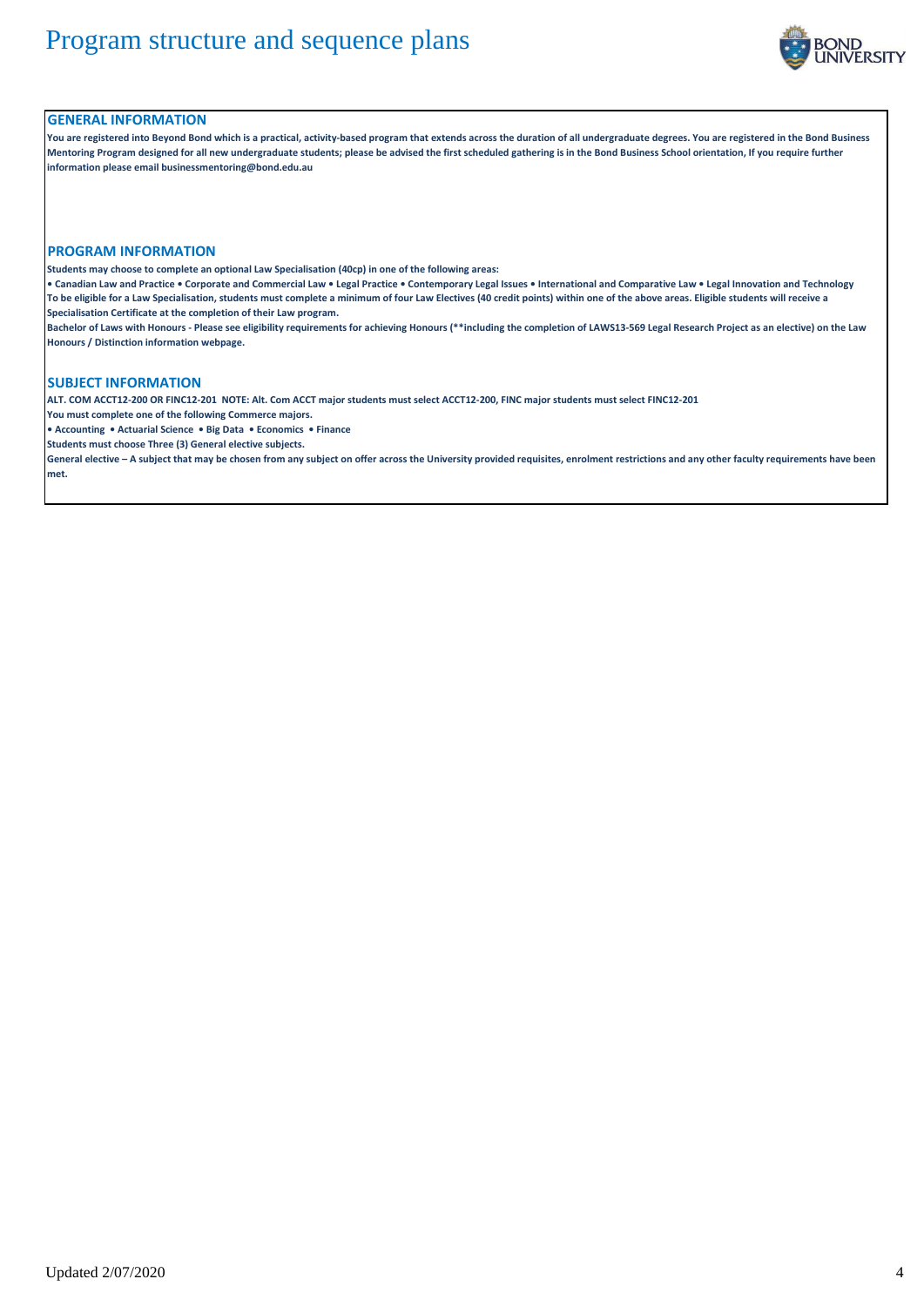

### **GENERAL INFORMATION**

**You are registered into Beyond Bond which is a practical, activity-based program that extends across the duration of all undergraduate degrees. You are registered in the Bond Business Mentoring Program designed for all new undergraduate students; please be advised the first scheduled gathering is in the Bond Business School orientation, If you require further information please email businessmentoring@bond.edu.au**

#### **PROGRAM INFORMATION**

**Students may choose to complete an optional Law Specialisation (40cp) in one of the following areas:**

**• Canadian Law and Practice • Corporate and Commercial Law • Legal Practice • Contemporary Legal Issues • International and Comparative Law • Legal Innovation and Technology To be eligible for a Law Specialisation, students must complete a minimum of four Law Electives (40 credit points) within one of the above areas. Eligible students will receive a Specialisation Certificate at the completion of their Law program.**

**Bachelor of Laws with Honours - Please see eligibility requirements for achieving Honours (\*\*including the completion of LAWS13-569 Legal Research Project as an elective) on the Law Honours / Distinction information webpage.**

### **SUBJECT INFORMATION**

**ALT. COM ACCT12-200 OR FINC12-201 NOTE: Alt. Com ACCT major students must select ACCT12-200, FINC major students must select FINC12-201**

**You must complete one of the following Commerce majors.** 

**• Accounting • Actuarial Science • Big Data • Economics • Finance**

**Students must choose Three (3) General elective subjects.**

**General elective – A subject that may be chosen from any subject on offer across the University provided requisites, enrolment restrictions and any other faculty requirements have been met.**